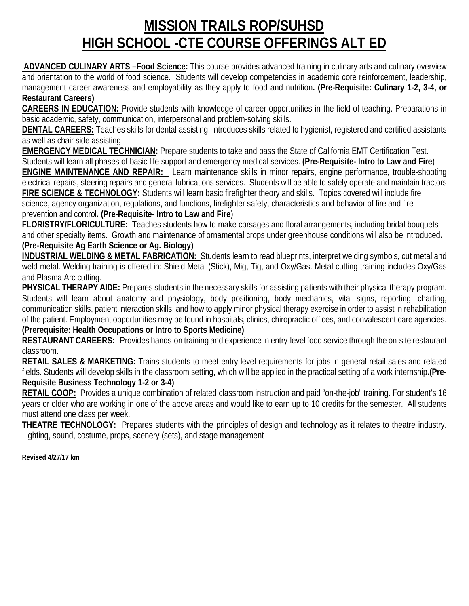## **MISSION TRAILS ROP/SUHSD HIGH SCHOOL -CTE COURSE OFFERINGS ALT ED**

**ADVANCED CULINARY ARTS –Food Science:** This course provides advanced training in culinary arts and culinary overview and orientation to the world of food science. Students will develop competencies in academic core reinforcement, leadership, management career awareness and employability as they apply to food and nutrition**. (Pre-Requisite: Culinary 1-2, 3-4, or Restaurant Careers)**

**CAREERS IN EDUCATION:** Provide students with knowledge of career opportunities in the field of teaching. Preparations in basic academic, safety, communication, interpersonal and problem-solving skills.

**DENTAL CAREERS:** Teaches skills for dental assisting; introduces skills related to hygienist, registered and certified assistants as well as chair side assisting

**EMERGENCY MEDICAL TECHNICIAN:** Prepare students to take and pass the State of California EMT Certification Test. Students will learn all phases of basic life support and emergency medical services. **(Pre-Requisite- Intro to Law and Fire**) **ENGINE MAINTENANCE AND REPAIR:** Learn maintenance skills in minor repairs, engine performance, trouble-shooting electrical repairs, steering repairs and general lubrications services. Students will be able to safely operate and maintain tractors **FIRE SCIENCE & TECHNOLOGY:** Students will learn basic firefighter theory and skills. Topics covered will include fire science, agency organization, regulations, and functions, firefighter safety, characteristics and behavior of fire and fire prevention and control**. (Pre-Requisite- Intro to Law and Fire**)

**FLORISTRY/FLORICULTURE:** Teaches students how to make corsages and floral arrangements, including bridal bouquets and other specialty items. Growth and maintenance of ornamental crops under greenhouse conditions will also be introduced**. (Pre-Requisite Ag Earth Science or Ag. Biology)**

**INDUSTRIAL WELDING & METAL FABRICATION:** Students learn to read blueprints, interpret welding symbols, cut metal and weld metal. Welding training is offered in: Shield Metal (Stick), Mig, Tig, and Oxy/Gas. Metal cutting training includes Oxy/Gas and Plasma Arc cutting.

**PHYSICAL THERAPY AIDE:** Prepares students in the necessary skills for assisting patients with their physical therapy program. Students will learn about anatomy and physiology, body positioning, body mechanics, vital signs, reporting, charting, communication skills, patient interaction skills, and how to apply minor physical therapy exercise in order to assist in rehabilitation of the patient. Employment opportunities may be found in hospitals, clinics, chiropractic offices, and convalescent care agencies. **(Prerequisite: Health Occupations or Intro to Sports Medicine)**

**RESTAURANT CAREERS:** Provides hands-on training and experience in entry-level food service through the on-site restaurant classroom.

**RETAIL SALES & MARKETING:** Trains students to meet entry-level requirements for jobs in general retail sales and related fields. Students will develop skills in the classroom setting, which will be applied in the practical setting of a work internship**.(Pre-Requisite Business Technology 1-2 or 3-4)**

**RETAIL COOP:** Provides a unique combination of related classroom instruction and paid "on-the-job" training. For student's 16 years or older who are working in one of the above areas and would like to earn up to 10 credits for the semester. All students must attend one class per week.

**THEATRE TECHNOLOGY:** Prepares students with the principles of design and technology as it relates to theatre industry. Lighting, sound, costume, props, scenery (sets), and stage management

**Revised 4/27/17 km**